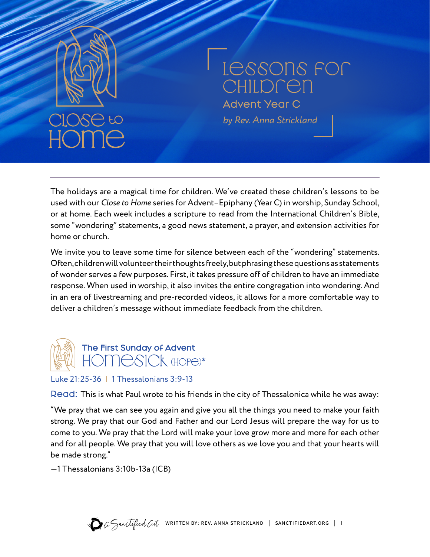

# Lessons for **CHILDREN**

Advent Year C *by Rev. Anna Strickland*

The holidays are a magical time for children. We've created these children's lessons to be used with our *Close to Home* series for Advent–Epiphany (Year C) in worship, Sunday School, or at home. Each week includes a scripture to read from the International Children's Bible, some "wondering" statements, a good news statement, a prayer, and extension activities for home or church.

We invite you to leave some time for silence between each of the "wondering" statements. Often, children will volunteer their thoughts freely, but phrasing these questions as statements of wonder serves a few purposes. First, it takes pressure off of children to have an immediate response. When used in worship, it also invites the entire congregation into wondering. And in an era of livestreaming and pre-recorded videos, it allows for a more comfortable way to deliver a children's message without immediate feedback from the children.

# The First Sunday of Advent HOMESICK (HOPE)\*

#### Luke 21:25-36 | 1 Thessalonians 3:9-13

Read: This is what Paul wrote to his friends in the city of Thessalonica while he was away:

"We pray that we can see you again and give you all the things you need to make your faith strong. We pray that our God and Father and our Lord Jesus will prepare the way for us to come to you. We pray that the Lord will make your love grow more and more for each other and for all people. We pray that you will love others as we love you and that your hearts will be made strong."

—1 Thessalonians 3:10b-13a (ICB)

 $\bullet$  a Sanctified at written by: REV. ANNA STRICKLAND | SANCTIFIEDART.ORG | 1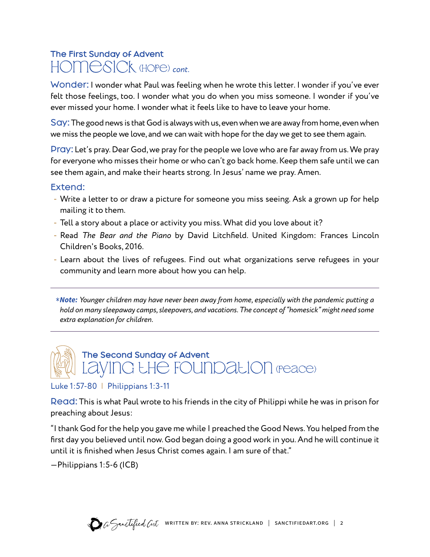# The First Sunday of Advent homesick (hope) *cont.*

Wonder: I wonder what Paul was feeling when he wrote this letter. I wonder if you've ever felt those feelings, too. I wonder what you do when you miss someone. I wonder if you've ever missed your home. I wonder what it feels like to have to leave your home.

Say:The good news is that God is always with us, even when we are away from home, even when we miss the people we love, and we can wait with hope for the day we get to see them again.

Pray: Let's pray. Dear God, we pray for the people we love who are far away from us. We pray for everyone who misses their home or who can't go back home. Keep them safe until we can see them again, and make their hearts strong. In Jesus' name we pray. Amen.

#### Extend:

- Write a letter to or draw a picture for someone you miss seeing. Ask a grown up for help mailing it to them.
- Tell a story about a place or activity you miss. What did you love about it?
- Read *The Bear and the Piano* by David Litchfield. United Kingdom: Frances Lincoln Children's Books, 2016.
- Learn about the lives of refugees. Find out what organizations serve refugees in your community and learn more about how you can help.

\* *Note: Younger children may have never been away from home, especially with the pandemic putting a hold on many sleepaway camps, sleepovers, and vacations. The concept of "homesick" might need some extra explanation for children.*



#### Luke 1:57-80 | Philippians 1:3-11

Read: This is what Paul wrote to his friends in the city of Philippi while he was in prison for preaching about Jesus:

"I thank God for the help you gave me while I preached the Good News. You helped from the first day you believed until now. God began doing a good work in you. And he will continue it until it is finished when Jesus Christ comes again. I am sure of that."

—Philippians 1:5-6 (ICB)

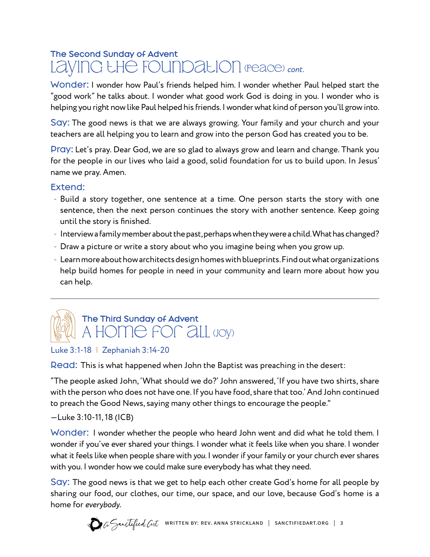### The Second Sunday of Advent LayinG LH<del>C</del> FOUNDaLION (peace) cont.

Wonder: I wonder how Paul's friends helped him. I wonder whether Paul helped start the "good work" he talks about. I wonder what good work God is doing in you. I wonder who is helping you right now like Paul helped his friends. I wonder what kind of person you'll grow into.

Say: The good news is that we are always growing. Your family and your church and your teachers are all helping you to learn and grow into the person God has created you to be.

Pray: Let's pray. Dear God, we are so glad to always grow and learn and change. Thank you for the people in our lives who laid a good, solid foundation for us to build upon. In Jesus' name we pray. Amen.

#### Extend:

- Build a story together, one sentence at a time. One person starts the story with one sentence, then the next person continues the story with another sentence. Keep going until the story is finished.
- Interview a family member about the past, perhaps when they were a child. What has changed?
- Draw a picture or write a story about who you imagine being when you grow up.
- Learn more about how architects design homes with blueprints. Find out what organizations help build homes for people in need in your community and learn more about how you can help.



# The Third Sunday of Advent A HOME FOR *all* yoy)

#### Luke 3:1-18 | Zephaniah 3:14-20

Read: This is what happened when John the Baptist was preaching in the desert:

"The people asked John, 'What should we do?' John answered, 'If you have two shirts, share with the person who does not have one. If you have food, share that too.' And John continued to preach the Good News, saying many other things to encourage the people."

#### —Luke 3:10-11, 18 (ICB)

Wonder: I wonder whether the people who heard John went and did what he told them. I wonder if you've ever shared your things. I wonder what it feels like when you share. I wonder what it feels like when people share with *you*. I wonder if your family or your church ever shares with you. I wonder how we could make sure everybody has what they need.

Say: The good news is that we get to help each other create God's home for all people by sharing our food, our clothes, our time, our space, and our love, because God's home is a home for *everybody*.

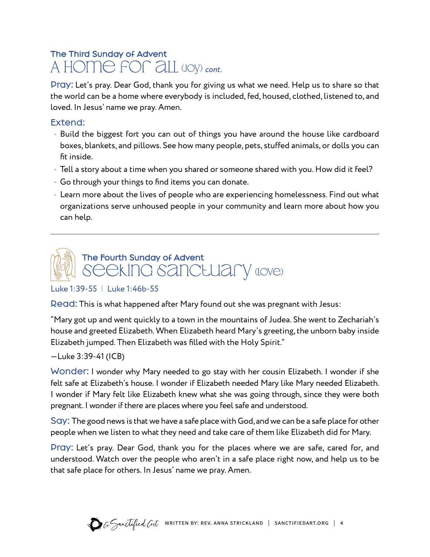# The Third Sunday of Advent A Home for aLL (Joy) *cont.*

Pray: Let's pray. Dear God, thank you for giving us what we need. Help us to share so that the world can be a home where everybody is included, fed, housed, clothed, listened to, and loved. In Jesus' name we pray. Amen.

#### Extend:

- Build the biggest fort you can out of things you have around the house like cardboard boxes, blankets, and pillows. See how many people, pets, stuffed animals, or dolls you can fit inside.
- Tell a story about a time when you shared or someone shared with you. How did it feel?
- Go through your things to find items you can donate.
- Learn more about the lives of people who are experiencing homelessness. Find out what organizations serve unhoused people in your community and learn more about how you can help.



#### Luke 1:39-55 | Luke 1:46b-55

Read: This is what happened after Mary found out she was pregnant with Jesus:

"Mary got up and went quickly to a town in the mountains of Judea. She went to Zechariah's house and greeted Elizabeth. When Elizabeth heard Mary's greeting, the unborn baby inside Elizabeth jumped. Then Elizabeth was filled with the Holy Spirit."

#### —Luke 3:39-41 (ICB)

Wonder: I wonder why Mary needed to go stay with her cousin Elizabeth. I wonder if she felt safe at Elizabeth's house. I wonder if Elizabeth needed Mary like Mary needed Elizabeth. I wonder if Mary felt like Elizabeth knew what she was going through, since they were both pregnant. I wonder if there are places where you feel safe and understood.

Say: The good news is that we have a safe place with God, and we can be a safe place for other people when we listen to what they need and take care of them like Elizabeth did for Mary.

Pray: Let's pray. Dear God, thank you for the places where we are safe, cared for, and understood. Watch over the people who aren't in a safe place right now, and help us to be that safe place for others. In Jesus' name we pray. Amen.

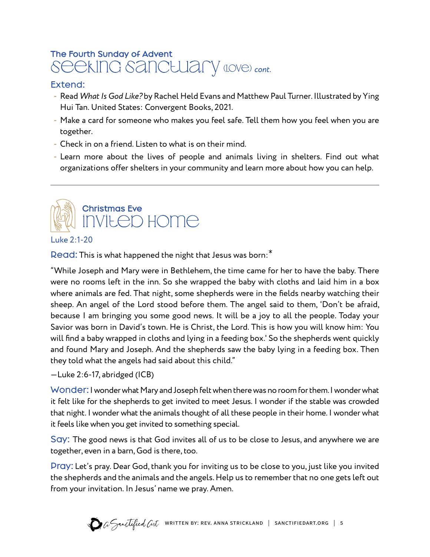# The Fourth Sunday of Advent Seeking sanctuary (Love) cont.

#### Extend:

- Read *What Is God Like?* by Rachel Held Evans and Matthew Paul Turner. Illustrated by Ying Hui Tan. United States: Convergent Books, 2021.
- Make a card for someone who makes you feel safe. Tell them how you feel when you are together.
- Check in on a friend. Listen to what is on their mind.
- Learn more about the lives of people and animals living in shelters. Find out what organizations offer shelters in your community and learn more about how you can help.



Luke 2:1-20

Read: This is what happened the night that Jesus was born:<sup>\*</sup>

"While Joseph and Mary were in Bethlehem, the time came for her to have the baby. There were no rooms left in the inn. So she wrapped the baby with cloths and laid him in a box where animals are fed. That night, some shepherds were in the fields nearby watching their sheep. An angel of the Lord stood before them. The angel said to them, 'Don't be afraid, because I am bringing you some good news. It will be a joy to all the people. Today your Savior was born in David's town. He is Christ, the Lord. This is how you will know him: You will find a baby wrapped in cloths and lying in a feeding box.' So the shepherds went quickly and found Mary and Joseph. And the shepherds saw the baby lying in a feeding box. Then they told what the angels had said about this child."

#### —Luke 2:6-17, abridged (ICB)

Wonder: I wonder what Mary and Joseph felt when there was no room for them. I wonder what it felt like for the shepherds to get invited to meet Jesus. I wonder if the stable was crowded that night. I wonder what the animals thought of all these people in their home. I wonder what it feels like when you get invited to something special.

Say: The good news is that God invites all of us to be close to Jesus, and anywhere we are together, even in a barn, God is there, too.

Pray: Let's pray. Dear God, thank you for inviting us to be close to you, just like you invited the shepherds and the animals and the angels. Help us to remember that no one gets left out from your invitation. In Jesus' name we pray. Amen.

![](_page_4_Picture_14.jpeg)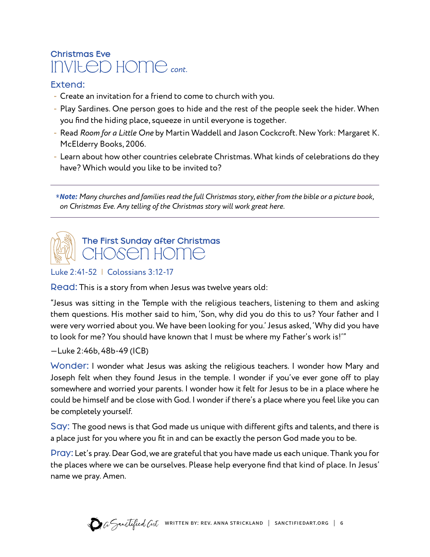# Christmas Eve invited home *cont.*

#### Extend:

- Create an invitation for a friend to come to church with you.
- Play Sardines. One person goes to hide and the rest of the people seek the hider. When you find the hiding place, squeeze in until everyone is together.
- Read *Room for a Little One* by Martin Waddell and Jason Cockcroft. New York: Margaret K. McElderry Books, 2006.
- Learn about how other countries celebrate Christmas. What kinds of celebrations do they have? Which would you like to be invited to?

\* *Note: Many churches and families read the full Christmas story, either from the bible or a picture book, on Christmas Eve. Any telling of the Christmas story will work great here.*

# The First Sunday after Christmas HOSEN HOME

Luke 2:41-52 | Colossians 3:12-17

Read: This is a story from when Jesus was twelve years old:

"Jesus was sitting in the Temple with the religious teachers, listening to them and asking them questions. His mother said to him, 'Son, why did you do this to us? Your father and I were very worried about you. We have been looking for you.' Jesus asked, 'Why did you have to look for me? You should have known that I must be where my Father's work is!'"

—Luke 2:46b, 48b-49 (ICB)

Wonder: I wonder what Jesus was asking the religious teachers. I wonder how Mary and Joseph felt when they found Jesus in the temple. I wonder if you've ever gone off to play somewhere and worried your parents. I wonder how it felt for Jesus to be in a place where he could be himself and be close with God. I wonder if there's a place where you feel like you can be completely yourself.

Say: The good news is that God made us unique with different gifts and talents, and there is a place just for you where you fit in and can be exactly the person God made you to be.

Pray: Let's pray. Dear God, we are grateful that you have made us each unique. Thank you for the places where we can be ourselves. Please help everyone find that kind of place. In Jesus' name we pray. Amen.

![](_page_5_Picture_15.jpeg)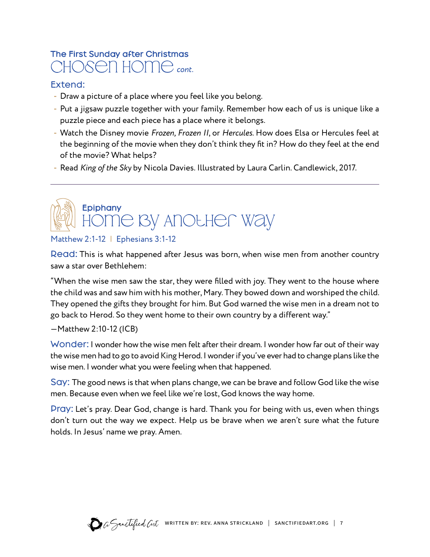### The First Sunday after Christmas chosen home *cont.*

#### Extend:

- Draw a picture of a place where you feel like you belong.
- Put a jigsaw puzzle together with your family. Remember how each of us is unique like a puzzle piece and each piece has a place where it belongs.
- Watch the Disney movie *Frozen, Frozen II*, or *Hercules*. How does Elsa or Hercules feel at the beginning of the movie when they don't think they fit in? How do they feel at the end of the movie? What helps?
- Read *King of the Sky* by Nicola Davies. Illustrated by Laura Carlin. Candlewick, 2017.

# **Epiphany** home by Another Way

#### Matthew 2:1-12 | Ephesians 3:1-12

Read: This is what happened after Jesus was born, when wise men from another country saw a star over Bethlehem:

"When the wise men saw the star, they were filled with joy. They went to the house where the child was and saw him with his mother, Mary. They bowed down and worshiped the child. They opened the gifts they brought for him. But God warned the wise men in a dream not to go back to Herod. So they went home to their own country by a different way."

#### —Matthew 2:10-12 (ICB)

Wonder: I wonder how the wise men felt after their dream. I wonder how far out of their way the wise men had to go to avoid King Herod. I wonder if you've ever had to change plans like the wise men. I wonder what you were feeling when that happened.

Say: The good news is that when plans change, we can be brave and follow God like the wise men. Because even when we feel like we're lost, God knows the way home.

Pray: Let's pray. Dear God, change is hard. Thank you for being with us, even when things don't turn out the way we expect. Help us be brave when we aren't sure what the future holds. In Jesus' name we pray. Amen.

![](_page_6_Picture_14.jpeg)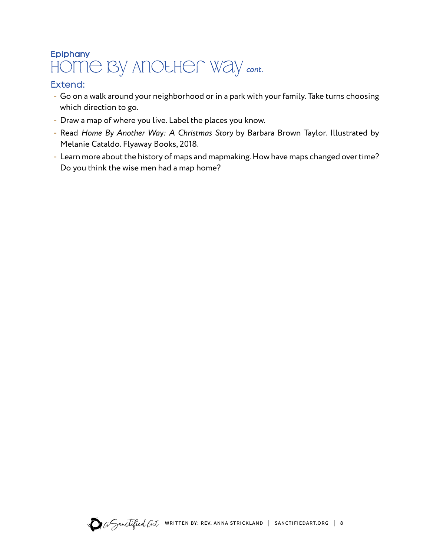# Epiphany home by Another Way *cont.*

#### Extend:

- Go on a walk around your neighborhood or in a park with your family. Take turns choosing which direction to go.
- Draw a map of where you live. Label the places you know.
- Read *Home By Another Way: A Christmas Story* by Barbara Brown Taylor. Illustrated by Melanie Cataldo. Flyaway Books, 2018.
- Learn more about the history of maps and mapmaking. How have maps changed over time? Do you think the wise men had a map home?

![](_page_7_Picture_6.jpeg)